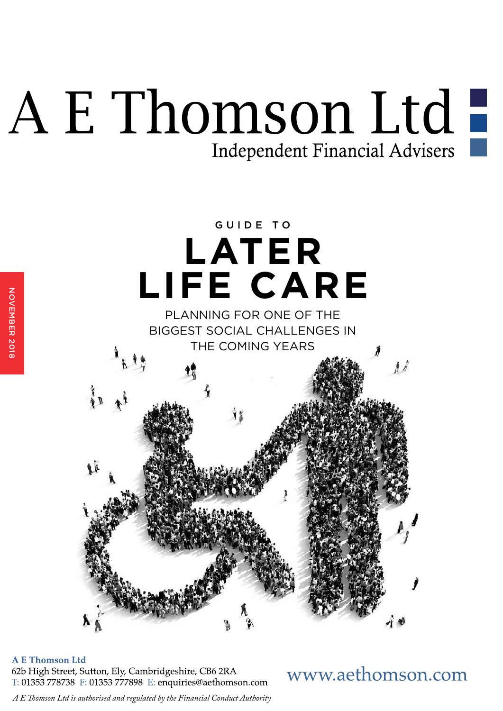## A E Thomson Ltd! Independent Financial Advisers



**A E Thomson Ltd** 

NOVEMBER 2018

62b High Street, Sutton, Ely, Cambridgeshire, CB6 2RA T: 01353 778738 F: 01353 777898 E: enquiries@aethomson.com www.aethomson.com

A E Thomson Ltd is authorised and regulated by the Financial Conduct Authority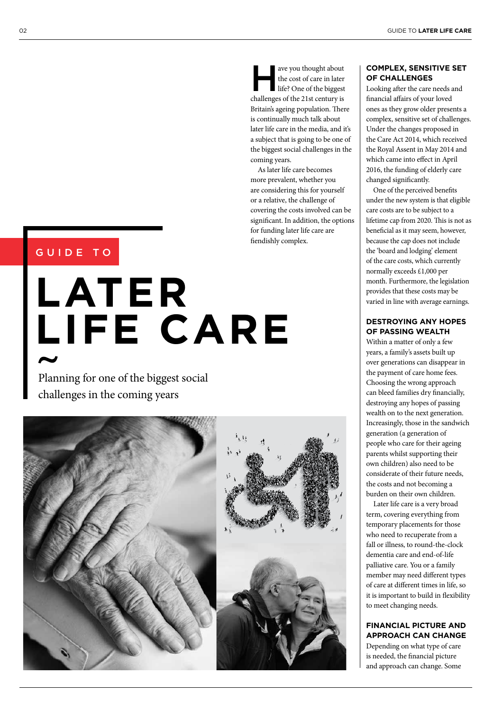ave you thought about<br>the cost of care in later<br>life? One of the biggest the cost of care in later life? One of the biggest challenges of the 21st century is Britain's ageing population. There is continually much talk about later life care in the media, and it's a subject that is going to be one of the biggest social challenges in the coming years.

As later life care becomes more prevalent, whether you are considering this for yourself or a relative, the challenge of covering the costs involved can be signifcant. In addition, the options for funding later life care are fendishly complex.

### GUIDE TO

# **LATER LIFE CARE**

Planning for one of the biggest social challenges in the coming years





#### **COMPLEX, SENSITIVE SET OF CHALLENGES**

Looking afer the care needs and fnancial afairs of your loved ones as they grow older presents a complex, sensitive set of challenges. Under the changes proposed in the Care Act 2014, which received the Royal Assent in May 2014 and which came into efect in April 2016, the funding of elderly care changed signifcantly.

One of the perceived benefts under the new system is that eligible care costs are to be subject to a lifetime cap from 2020. This is not as beneficial as it may seem, however, because the cap does not include the 'board and lodging' element of the care costs, which currently normally exceeds £1,000 per month. Furthermore, the legislation provides that these costs may be varied in line with average earnings.

#### **DESTROYING ANY HOPES OF PASSING WEALTH**

Within a matter of only a few years, a family's assets built up over generations can disappear in the payment of care home fees. Choosing the wrong approach can bleed families dry fnancially, destroying any hopes of passing wealth on to the next generation. Increasingly, those in the sandwich generation (a generation of people who care for their ageing parents whilst supporting their own children) also need to be considerate of their future needs, the costs and not becoming a burden on their own children.

Later life care is a very broad term, covering everything from temporary placements for those who need to recuperate from a fall or illness, to round-the-clock dementia care and end-of-life palliative care. You or a family member may need diferent types of care at diferent times in life, so it is important to build in fexibility to meet changing needs.

#### **FINANCIAL PICTURE AND APPROACH CAN CHANGE**

Depending on what type of care is needed, the fnancial picture and approach can change. Some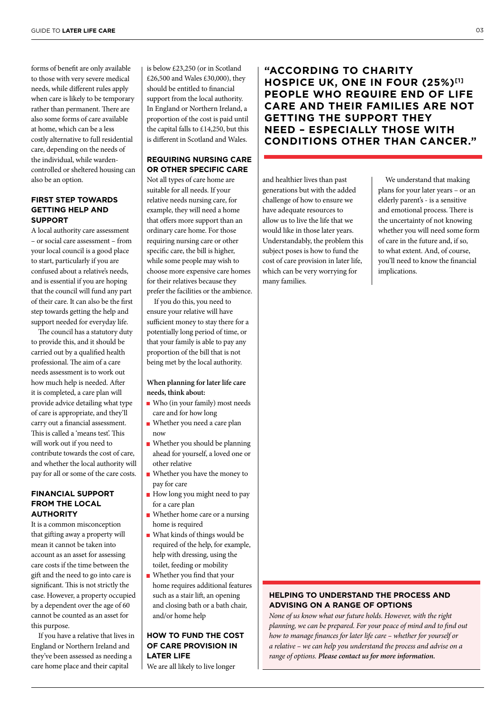forms of beneft are only available to those with very severe medical needs, while diferent rules apply when care is likely to be temporary rather than permanent. There are also some forms of care available at home, which can be a less costly alternative to full residential care, depending on the needs of the individual, while wardencontrolled or sheltered housing can also be an option.

#### **FIRST STEP TOWARDS GETTING HELP AND SUPPORT**

A local authority care assessment – or social care assessment – from your local council is a good place to start, particularly if you are confused about a relative's needs, and is essential if you are hoping that the council will fund any part of their care. It can also be the frst step towards getting the help and support needed for everyday life.

The council has a statutory duty to provide this, and it should be carried out by a qualifed health professional. The aim of a care needs assessment is to work out how much help is needed. Afer it is completed, a care plan will provide advice detailing what type of care is appropriate, and they'll carry out a fnancial assessment. This is called a 'means test'. This will work out if you need to contribute towards the cost of care, and whether the local authority will pay for all or some of the care costs.

#### **FINANCIAL SUPPORT FROM THE LOCAL AUTHORITY**

It is a common misconception that gifing away a property will mean it cannot be taken into account as an asset for assessing care costs if the time between the gift and the need to go into care is significant. This is not strictly the case. However, a property occupied by a dependent over the age of 60 cannot be counted as an asset for this purpose.

If you have a relative that lives in England or Northern Ireland and they've been assessed as needing a care home place and their capital

is below £23,250 (or in Scotland £26,500 and Wales £30,000), they should be entitled to fnancial support from the local authority. In England or Northern Ireland, a proportion of the cost is paid until the capital falls to £14,250, but this is diferent in Scotland and Wales.

#### **REQUIRING NURSING CARE OR OTHER SPECIFIC CARE**

Not all types of care home are suitable for all needs. If your relative needs nursing care, for example, they will need a home that offers more support than an ordinary care home. For those requiring nursing care or other specifc care, the bill is higher, while some people may wish to choose more expensive care homes for their relatives because they prefer the facilities or the ambience.

If you do this, you need to ensure your relative will have sufficient money to stay there for a potentially long period of time, or that your family is able to pay any proportion of the bill that is not being met by the local authority.

**When planning for later life care needs, think about:** 

- Who (in your family) most needs care and for how long
- Whether you need a care plan now
- Whether you should be planning ahead for yourself, a loved one or other relative
- Whether you have the money to pay for care
- How long you might need to pay for a care plan
- Whether home care or a nursing home is required
- What kinds of things would be required of the help, for example, help with dressing, using the toilet, feeding or mobility
- Whether you find that your home requires additional features such as a stair lift, an opening and closing bath or a bath chair, and/or home help

#### **HOW TO FUND THE COST OF CARE PROVISION IN LATER LIFE**

We are all likely to live longer

**"ACCORDING TO CHARITY HOSPICE UK, ONE IN FOUR (25%)[1] PEOPLE WHO REQUIRE END OF LIFE CARE AND THEIR FAMILIES ARE NOT GETTING THE SUPPORT THEY NEED – ESPECIALLY THOSE WITH CONDITIONS OTHER THAN CANCER."** 

and healthier lives than past generations but with the added challenge of how to ensure we have adequate resources to allow us to live the life that we would like in those later years. Understandably, the problem this subject poses is how to fund the cost of care provision in later life, which can be very worrying for many families.

We understand that making plans for your later years – or an elderly parent's - is a sensitive and emotional process. There is the uncertainty of not knowing whether you will need some form of care in the future and, if so, to what extent. And, of course, you'll need to know the fnancial implications.

#### **HELPING TO UNDERSTAND THE PROCESS AND ADVISING ON A RANGE OF OPTIONS**

*None of us know what our future holds. However, with the right planning, we can be prepared. For your peace of mind and to find out how to manage* f*nances for later life care – whether for yourself or a relative – we can help you understand the process and advise on a range of options. Please contact us for more information.*